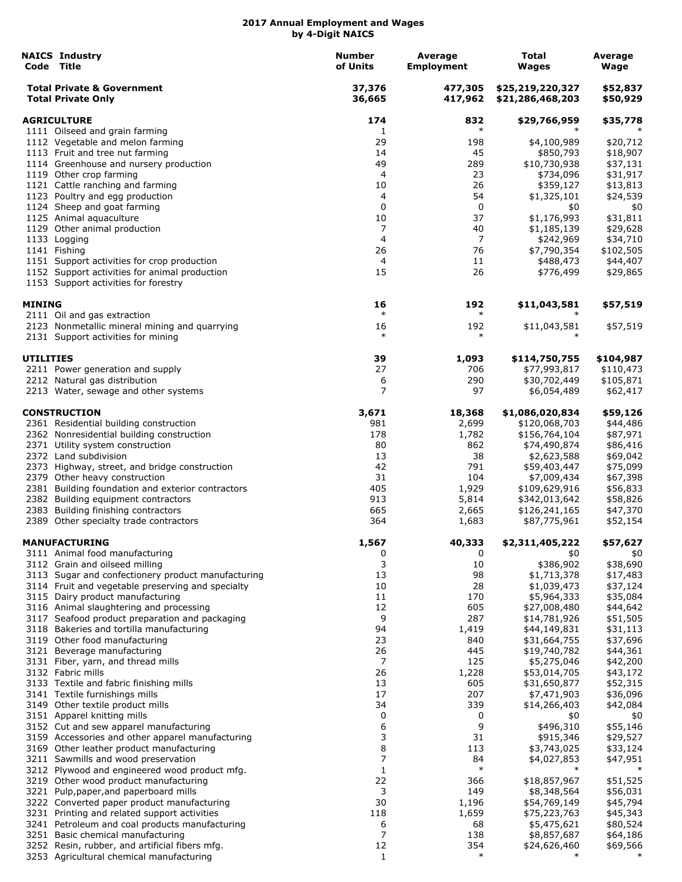|                    | <b>NAICS Industry</b><br>Code Title                                                   | <b>Number</b><br>of Units | Average<br><b>Employment</b> | Total<br><b>Wages</b>                | Average<br>Wage       |
|--------------------|---------------------------------------------------------------------------------------|---------------------------|------------------------------|--------------------------------------|-----------------------|
|                    | <b>Total Private &amp; Government</b><br><b>Total Private Only</b>                    | 37,376<br>36,665          | 477,305<br>417,962           | \$25,219,220,327<br>\$21,286,468,203 | \$52,837<br>\$50,929  |
| <b>AGRICULTURE</b> |                                                                                       | 174                       | 832                          | \$29,766,959                         | \$35,778              |
|                    | 1111 Oilseed and grain farming                                                        | 1                         | $\ast$                       |                                      |                       |
|                    | 1112 Vegetable and melon farming                                                      | 29                        | 198                          | \$4,100,989                          | \$20,712              |
|                    | 1113 Fruit and tree nut farming                                                       | 14                        | 45                           | \$850,793                            | \$18,907              |
|                    | 1114 Greenhouse and nursery production                                                | 49                        | 289                          | \$10,730,938                         | \$37,131              |
|                    | 1119 Other crop farming<br>1121 Cattle ranching and farming                           | 4<br>10                   | 23<br>26                     | \$734,096<br>\$359,127               | \$31,917<br>\$13,813  |
|                    | 1123 Poultry and egg production                                                       | 4                         | 54                           | \$1,325,101                          | \$24,539              |
|                    | 1124 Sheep and goat farming                                                           | 0                         | $\mathbf 0$                  | \$0                                  | \$0                   |
|                    | 1125 Animal aquaculture                                                               | 10                        | 37                           | \$1,176,993                          | \$31,811              |
|                    | 1129 Other animal production                                                          | 7                         | 40                           | \$1,185,139                          | \$29,628              |
|                    | 1133 Logging                                                                          | 4                         | 7                            | \$242,969                            | \$34,710              |
|                    | 1141 Fishing                                                                          | 26                        | 76                           | \$7,790,354                          | \$102,505             |
|                    | 1151 Support activities for crop production                                           | 4                         | 11                           | \$488,473                            | \$44,407              |
|                    | 1152 Support activities for animal production<br>1153 Support activities for forestry | 15                        | 26                           | \$776,499                            | \$29,865              |
| MINING             |                                                                                       | 16                        | 192                          | \$11,043,581                         | \$57,519              |
|                    | 2111 Oil and gas extraction                                                           | $\ast$                    | $\ast$                       |                                      |                       |
|                    | 2123 Nonmetallic mineral mining and quarrying<br>2131 Support activities for mining   | 16<br>$\ast$              | 192<br>$\ast$                | \$11,043,581                         | \$57,519              |
| UTILITIES          |                                                                                       | 39                        | 1,093                        | \$114,750,755                        | \$104,987             |
|                    | 2211 Power generation and supply<br>2212 Natural gas distribution                     | 27                        | 706<br>290                   | \$77,993,817<br>\$30,702,449         | \$110,473             |
|                    | 2213 Water, sewage and other systems                                                  | 6<br>7                    | 97                           | \$6,054,489                          | \$105,871<br>\$62,417 |
|                    | <b>CONSTRUCTION</b>                                                                   | 3,671                     | 18,368                       | \$1,086,020,834                      | \$59,126              |
|                    | 2361 Residential building construction                                                | 981                       | 2,699                        | \$120,068,703                        | \$44,486              |
|                    | 2362 Nonresidential building construction                                             | 178                       | 1,782                        | \$156,764,104                        | \$87,971              |
|                    | 2371 Utility system construction                                                      | 80                        | 862                          | \$74,490,874                         | \$86,416              |
|                    | 2372 Land subdivision                                                                 | 13                        | 38                           | \$2,623,588                          | \$69,042              |
|                    | 2373 Highway, street, and bridge construction                                         | 42                        | 791                          | \$59,403,447                         | \$75,099              |
|                    | 2379 Other heavy construction                                                         | 31                        | 104                          | \$7,009,434                          | \$67,398              |
|                    | 2381 Building foundation and exterior contractors                                     | 405<br>913                | 1,929                        | \$109,629,916<br>\$342,013,642       | \$56,833              |
|                    | 2382 Building equipment contractors<br>2383 Building finishing contractors            | 665                       | 5,814<br>2,665               | \$126,241,165                        | \$58,826<br>\$47,370  |
|                    | 2389 Other specialty trade contractors                                                | 364                       | 1,683                        | \$87,775,961                         | \$52,154              |
|                    | <b>MANUFACTURING</b>                                                                  | 1,567                     | 40,333                       | \$2,311,405,222                      | \$57,627              |
|                    | 3111 Animal food manufacturing                                                        | 0<br>3                    | 0<br>10                      | \$0<br>\$386,902                     | \$0                   |
|                    | 3112 Grain and oilseed milling<br>3113 Sugar and confectionery product manufacturing  | 13                        | 98                           | \$1,713,378                          | \$38,690<br>\$17,483  |
|                    | 3114 Fruit and vegetable preserving and specialty                                     | 10                        | 28                           | \$1,039,473                          | \$37,124              |
|                    | 3115 Dairy product manufacturing                                                      | 11                        | 170                          | \$5,964,333                          | \$35,084              |
|                    | 3116 Animal slaughtering and processing                                               | 12                        | 605                          | \$27,008,480                         | \$44,642              |
|                    | 3117 Seafood product preparation and packaging                                        | 9                         | 287                          | \$14,781,926                         | \$51,505              |
|                    | 3118 Bakeries and tortilla manufacturing                                              | 94                        | 1,419                        | \$44,149,831                         | \$31,113              |
|                    | 3119 Other food manufacturing                                                         | 23                        | 840                          | \$31,664,755                         | \$37,696              |
|                    | 3121 Beverage manufacturing<br>3131 Fiber, yarn, and thread mills                     | 26<br>7                   | 445<br>125                   | \$19,740,782                         | \$44,361              |
|                    | 3132 Fabric mills                                                                     | 26                        | 1,228                        | \$5,275,046<br>\$53,014,705          | \$42,200<br>\$43,172  |
|                    | 3133 Textile and fabric finishing mills                                               | 13                        | 605                          | \$31,650,877                         | \$52,315              |
|                    | 3141 Textile furnishings mills                                                        | 17                        | 207                          | \$7,471,903                          | \$36,096              |
|                    | 3149 Other textile product mills                                                      | 34                        | 339                          | \$14,266,403                         | \$42,084              |
|                    | 3151 Apparel knitting mills                                                           | 0                         | 0                            | \$0                                  | \$0                   |
|                    | 3152 Cut and sew apparel manufacturing                                                | 6                         | 9                            | \$496,310                            | \$55,146              |
|                    | 3159 Accessories and other apparel manufacturing                                      | 3                         | 31                           | \$915,346                            | \$29,527              |
|                    | 3169 Other leather product manufacturing                                              | 8                         | 113                          | \$3,743,025                          | \$33,124              |
|                    | 3211 Sawmills and wood preservation<br>3212 Plywood and engineered wood product mfg.  | 7<br>$\mathbf{1}$         | 84<br>$\ast$                 | \$4,027,853                          | \$47,951              |
|                    | 3219 Other wood product manufacturing                                                 | 22                        | 366                          | \$18,857,967                         | \$51,525              |
|                    | 3221 Pulp, paper, and paperboard mills                                                | 3                         | 149                          | \$8,348,564                          | \$56,031              |
|                    | 3222 Converted paper product manufacturing                                            | 30                        | 1,196                        | \$54,769,149                         | \$45,794              |
|                    | 3231 Printing and related support activities                                          | 118                       | 1,659                        | \$75,223,763                         | \$45,343              |
|                    | 3241 Petroleum and coal products manufacturing                                        | 6                         | 68                           | \$5,475,621                          | \$80,524              |
|                    | 3251 Basic chemical manufacturing                                                     | 7                         | 138                          | \$8,857,687                          | \$64,186              |
|                    | 3252 Resin, rubber, and artificial fibers mfg.                                        | 12                        | 354<br>$\ast$                | \$24,626,460                         | \$69,566              |
|                    | 3253 Agricultural chemical manufacturing                                              | $\mathbf{1}$              |                              | $\ast$                               | $\ast$                |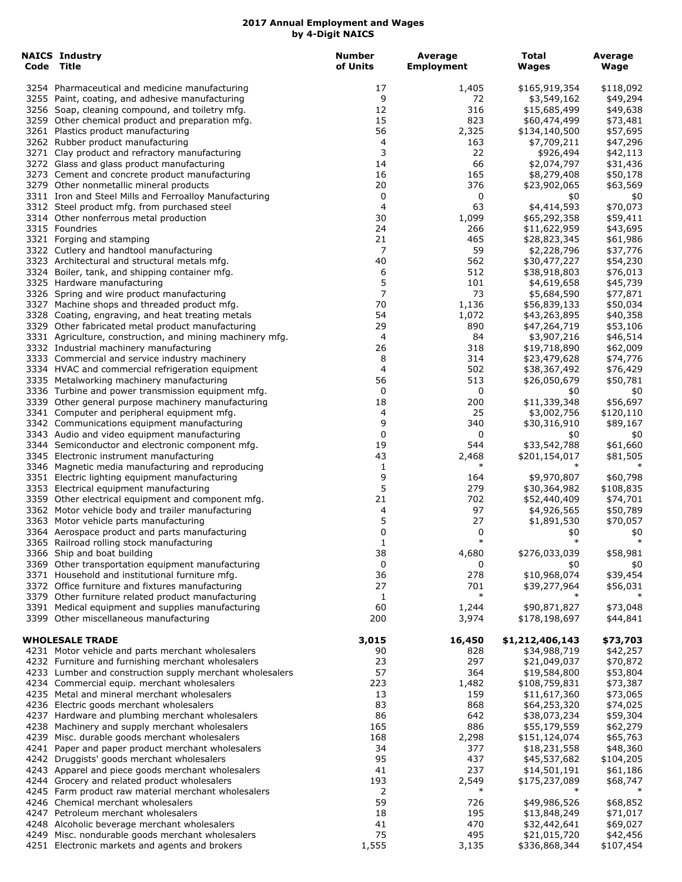| <b>NAICS Industry</b><br>Code Title                                                                  | <b>Number</b><br>of Units | Average<br><b>Employment</b> | <b>Total</b><br>Wages         | Average<br>Wage       |
|------------------------------------------------------------------------------------------------------|---------------------------|------------------------------|-------------------------------|-----------------------|
| 3254 Pharmaceutical and medicine manufacturing                                                       | 17                        | 1,405                        | \$165,919,354                 | \$118,092             |
| 3255 Paint, coating, and adhesive manufacturing                                                      | 9                         | 72                           | \$3,549,162                   | \$49,294              |
| 3256 Soap, cleaning compound, and toiletry mfg.                                                      | 12                        | 316                          | \$15,685,499                  | \$49,638              |
| 3259 Other chemical product and preparation mfg.                                                     | 15                        | 823                          | \$60,474,499                  | \$73,481              |
| 3261 Plastics product manufacturing                                                                  | 56                        | 2,325                        | \$134,140,500                 | \$57,695              |
| 3262 Rubber product manufacturing                                                                    | 4                         | 163                          | \$7,709,211                   | \$47,296              |
| 3271 Clay product and refractory manufacturing                                                       | 3                         | 22                           | \$926,494                     | \$42,113              |
| 3272 Glass and glass product manufacturing                                                           | 14                        | 66                           | \$2,074,797                   | \$31,436              |
| 3273 Cement and concrete product manufacturing<br>3279 Other nonmetallic mineral products            | 16<br>20                  | 165<br>376                   | \$8,279,408                   | \$50,178              |
| 3311 Iron and Steel Mills and Ferroalloy Manufacturing                                               | 0                         | 0                            | \$23,902,065<br>\$0           | \$63,569<br>\$0       |
| 3312 Steel product mfg. from purchased steel                                                         | 4                         | 63                           | \$4,414,593                   | \$70,073              |
| 3314 Other nonferrous metal production                                                               | 30                        | 1,099                        | \$65,292,358                  | \$59,411              |
| 3315 Foundries                                                                                       | 24                        | 266                          | \$11,622,959                  | \$43,695              |
| 3321 Forging and stamping                                                                            | 21                        | 465                          | \$28,823,345                  | \$61,986              |
| 3322 Cutlery and handtool manufacturing                                                              | 7                         | 59                           | \$2,228,796                   | \$37,776              |
| 3323 Architectural and structural metals mfg.                                                        | 40                        | 562                          | \$30,477,227                  | \$54,230              |
| 3324 Boiler, tank, and shipping container mfg.                                                       | 6                         | 512                          | \$38,918,803                  | \$76,013              |
| 3325 Hardware manufacturing                                                                          | 5                         | 101                          | \$4,619,658                   | \$45,739              |
| 3326 Spring and wire product manufacturing                                                           | 7                         | 73                           | \$5,684,590                   | \$77,871              |
| 3327 Machine shops and threaded product mfg.                                                         | 70                        | 1,136                        | \$56,839,133                  | \$50,034              |
| 3328 Coating, engraving, and heat treating metals                                                    | 54                        | 1,072                        | \$43,263,895                  | \$40,358              |
| 3329 Other fabricated metal product manufacturing                                                    | 29                        | 890                          | \$47,264,719                  | \$53,106              |
| 3331 Agriculture, construction, and mining machinery mfg.<br>3332 Industrial machinery manufacturing | 4<br>26                   | 84<br>318                    | \$3,907,216<br>\$19,718,890   | \$46,514<br>\$62,009  |
| 3333 Commercial and service industry machinery                                                       | 8                         | 314                          | \$23,479,628                  | \$74,776              |
| 3334 HVAC and commercial refrigeration equipment                                                     | 4                         | 502                          | \$38,367,492                  | \$76,429              |
| 3335 Metalworking machinery manufacturing                                                            | 56                        | 513                          | \$26,050,679                  | \$50,781              |
| 3336 Turbine and power transmission equipment mfg.                                                   | 0                         | 0                            | \$0                           | \$0                   |
| 3339 Other general purpose machinery manufacturing                                                   | 18                        | 200                          | \$11,339,348                  | \$56,697              |
| 3341 Computer and peripheral equipment mfg.                                                          | 4                         | 25                           | \$3,002,756                   | \$120,110             |
| 3342 Communications equipment manufacturing                                                          | 9                         | 340                          | \$30,316,910                  | \$89,167              |
| 3343 Audio and video equipment manufacturing                                                         | 0                         | 0                            | \$0                           | \$0                   |
| 3344 Semiconductor and electronic component mfg.                                                     | 19                        | 544                          | \$33,542,788                  | \$61,660              |
| 3345 Electronic instrument manufacturing                                                             | 43                        | 2,468                        | \$201,154,017                 | \$81,505              |
| 3346 Magnetic media manufacturing and reproducing                                                    | 1                         | $\ast$                       | $\ast$                        |                       |
| 3351 Electric lighting equipment manufacturing                                                       | 9                         | 164                          | \$9,970,807                   | \$60,798              |
| 3353 Electrical equipment manufacturing<br>3359 Other electrical equipment and component mfg.        | 5<br>21                   | 279<br>702                   | \$30,364,982<br>\$52,440,409  | \$108,835<br>\$74,701 |
| 3362 Motor vehicle body and trailer manufacturing                                                    | 4                         | 97                           | \$4,926,565                   | \$50,789              |
| 3363 Motor vehicle parts manufacturing                                                               | 5                         | 27                           | \$1,891,530                   | \$70,057              |
| 3364 Aerospace product and parts manufacturing                                                       | 0                         | 0                            | \$0                           | \$0                   |
| 3365 Railroad rolling stock manufacturing                                                            | $\mathbf{1}$              | $\ast$                       | $\ast$                        | $\ast$                |
| 3366 Ship and boat building                                                                          | 38                        | 4,680                        | \$276,033,039                 | \$58,981              |
| 3369 Other transportation equipment manufacturing                                                    | 0                         | 0                            | \$0                           | \$0                   |
| 3371 Household and institutional furniture mfg.                                                      | 36                        | 278                          | \$10,968,074                  | \$39,454              |
| 3372 Office furniture and fixtures manufacturing                                                     | 27                        | 701                          | \$39,277,964                  | \$56,031              |
| 3379 Other furniture related product manufacturing                                                   | 1                         | $\ast$                       |                               |                       |
| 3391 Medical equipment and supplies manufacturing                                                    | 60                        | 1,244                        | \$90,871,827                  | \$73,048              |
| 3399 Other miscellaneous manufacturing                                                               | 200                       | 3,974                        | \$178,198,697                 | \$44,841              |
| <b>WHOLESALE TRADE</b>                                                                               | 3,015                     | 16,450                       | \$1,212,406,143               | \$73,703              |
| 4231 Motor vehicle and parts merchant wholesalers                                                    | 90                        | 828                          | \$34,988,719                  | \$42,257              |
| 4232 Furniture and furnishing merchant wholesalers                                                   | 23                        | 297                          | \$21,049,037                  | \$70,872              |
| 4233 Lumber and construction supply merchant wholesalers                                             | 57                        | 364                          | \$19,584,800                  | \$53,804              |
| 4234 Commercial equip. merchant wholesalers                                                          | 223                       | 1,482                        | \$108,759,831                 | \$73,387              |
| 4235 Metal and mineral merchant wholesalers                                                          | 13                        | 159                          | \$11,617,360                  | \$73,065              |
| 4236 Electric goods merchant wholesalers                                                             | 83                        | 868                          | \$64,253,320                  | \$74,025              |
| 4237 Hardware and plumbing merchant wholesalers                                                      | 86                        | 642<br>886                   | \$38,073,234                  | \$59,304              |
| 4238 Machinery and supply merchant wholesalers                                                       | 165<br>168                |                              | \$55,179,559                  | \$62,279              |
| 4239 Misc. durable goods merchant wholesalers<br>4241 Paper and paper product merchant wholesalers   | 34                        | 2,298<br>377                 | \$151,124,074<br>\$18,231,558 | \$65,763<br>\$48,360  |
| 4242 Druggists' goods merchant wholesalers                                                           | 95                        | 437                          | \$45,537,682                  | \$104,205             |
| 4243 Apparel and piece goods merchant wholesalers                                                    | 41                        | 237                          | \$14,501,191                  | \$61,186              |
| 4244 Grocery and related product wholesalers                                                         | 193                       | 2,549                        | \$175,237,089                 | \$68,747              |
| 4245 Farm product raw material merchant wholesalers                                                  | 2                         | $\ast$                       | $\ast$                        | $\ast$                |
| 4246 Chemical merchant wholesalers                                                                   | 59                        | 726                          | \$49,986,526                  | \$68,852              |
| 4247 Petroleum merchant wholesalers                                                                  | 18                        | 195                          | \$13,848,249                  | \$71,017              |
| 4248 Alcoholic beverage merchant wholesalers                                                         | 41                        | 470                          | \$32,442,641                  | \$69,027              |
| 4249 Misc. nondurable goods merchant wholesalers                                                     | 75                        | 495                          | \$21,015,720                  | \$42,456              |
| 4251 Electronic markets and agents and brokers                                                       | 1,555                     | 3,135                        | \$336,868,344                 | \$107,454             |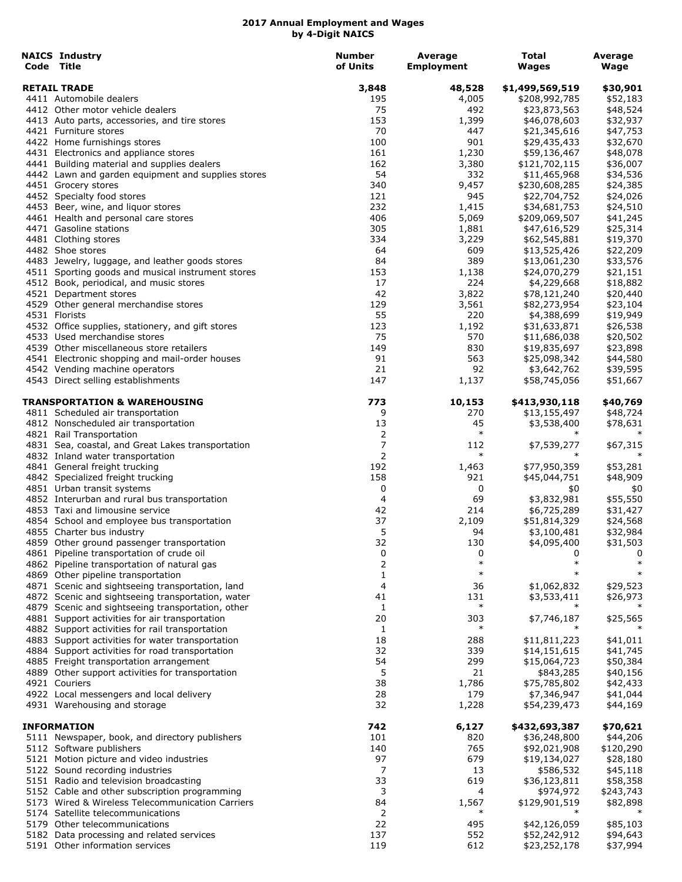| <b>NAICS Industry</b><br>Code Title                | <b>Number</b><br>of Units | Average<br><b>Employment</b> | Total<br>Wages                   | Average<br>Wage      |
|----------------------------------------------------|---------------------------|------------------------------|----------------------------------|----------------------|
|                                                    |                           |                              |                                  |                      |
| <b>RETAIL TRADE</b><br>4411 Automobile dealers     | 3,848<br>195              | 48,528<br>4,005              | \$1,499,569,519<br>\$208,992,785 | \$30,901<br>\$52,183 |
| 4412 Other motor vehicle dealers                   | 75                        | 492                          | \$23,873,563                     | \$48,524             |
| 4413 Auto parts, accessories, and tire stores      | 153                       | 1,399                        | \$46,078,603                     | \$32,937             |
| 4421 Furniture stores                              | 70                        | 447                          | \$21,345,616                     | \$47,753             |
| 4422 Home furnishings stores                       | 100                       | 901                          | \$29,435,433                     | \$32,670             |
| 4431 Electronics and appliance stores              | 161                       | 1,230                        | \$59,136,467                     | \$48,078             |
| 4441 Building material and supplies dealers        | 162                       | 3,380                        | \$121,702,115                    | \$36,007             |
| 4442 Lawn and garden equipment and supplies stores | 54                        | 332                          | \$11,465,968                     | \$34,536             |
| 4451 Grocery stores                                | 340                       | 9,457                        | \$230,608,285                    | \$24,385             |
| 4452 Specialty food stores                         | 121                       | 945                          | \$22,704,752                     | \$24,026             |
| 4453 Beer, wine, and liquor stores                 | 232                       | 1,415                        | \$34,681,753                     | \$24,510             |
| 4461 Health and personal care stores               | 406                       | 5,069                        | \$209,069,507                    | \$41,245             |
| 4471 Gasoline stations                             | 305                       | 1,881                        | \$47,616,529                     | \$25,314             |
| 4481 Clothing stores                               | 334                       | 3,229                        | \$62,545,881                     | \$19,370             |
| 4482 Shoe stores                                   | 64                        | 609                          | \$13,525,426                     | \$22,209             |
| 4483 Jewelry, luggage, and leather goods stores    | 84                        | 389                          | \$13,061,230                     | \$33,576             |
| 4511 Sporting goods and musical instrument stores  | 153                       | 1,138                        | \$24,070,279                     | \$21,151             |
| 4512 Book, periodical, and music stores            | 17                        | 224                          | \$4,229,668                      | \$18,882             |
| 4521 Department stores                             | 42                        | 3,822                        | \$78,121,240                     | \$20,440             |
| 4529 Other general merchandise stores              | 129                       | 3,561                        | \$82,273,954                     | \$23,104             |
| 4531 Florists                                      | 55                        | 220                          | \$4,388,699                      | \$19,949             |
| 4532 Office supplies, stationery, and gift stores  | 123                       | 1,192                        | \$31,633,871                     | \$26,538             |
| 4533 Used merchandise stores                       | 75                        | 570                          | \$11,686,038                     | \$20,502             |
| 4539 Other miscellaneous store retailers           | 149                       | 830                          | \$19,835,697                     | \$23,898             |
| 4541 Electronic shopping and mail-order houses     | 91                        | 563                          | \$25,098,342                     | \$44,580             |
| 4542 Vending machine operators                     | 21                        | 92                           | \$3,642,762                      | \$39,595             |
| 4543 Direct selling establishments                 | 147                       | 1,137                        | \$58,745,056                     | \$51,667             |
| TRANSPORTATION & WAREHOUSING                       | 773                       | 10,153                       | \$413,930,118                    | \$40,769             |
| 4811 Scheduled air transportation                  | 9                         | 270                          | \$13,155,497                     | \$48,724             |
| 4812 Nonscheduled air transportation               | 13                        | 45                           | \$3,538,400                      | \$78,631             |
| 4821 Rail Transportation                           | 2                         | $\ast$                       |                                  |                      |
| 4831 Sea, coastal, and Great Lakes transportation  | 7                         | 112                          | \$7,539,277                      | \$67,315             |
| 4832 Inland water transportation                   | 2                         | $\ast$                       |                                  |                      |
| 4841 General freight trucking                      | 192                       | 1,463                        | \$77,950,359                     | \$53,281             |
| 4842 Specialized freight trucking                  | 158                       | 921                          | \$45,044,751                     | \$48,909             |
| 4851 Urban transit systems                         | 0                         | 0                            | \$0                              | \$0                  |
| 4852 Interurban and rural bus transportation       | 4                         | 69                           | \$3,832,981                      | \$55,550             |
| 4853 Taxi and limousine service                    | 42                        | 214                          | \$6,725,289                      | \$31,427             |
| 4854 School and employee bus transportation        | 37                        | 2,109                        | \$51,814,329                     | \$24,568             |
| 4855 Charter bus industry                          | 5                         | 94                           | \$3,100,481                      | \$32,984             |
| 4859 Other ground passenger transportation         | 32                        | 130                          | \$4,095,400                      | \$31,503             |
| 4861 Pipeline transportation of crude oil          | 0                         | 0                            | 0                                | 0                    |
| 4862 Pipeline transportation of natural gas        | 2                         | $\ast$                       | $\ast$                           |                      |
| 4869 Other pipeline transportation                 | 1                         | $\ast$                       |                                  | $\ast$               |
| 4871 Scenic and sightseeing transportation, land   | 4                         | 36                           | \$1,062,832                      | \$29,523             |
| 4872 Scenic and sightseeing transportation, water  | 41                        | 131                          | \$3,533,411                      | \$26,973             |
| 4879 Scenic and sightseeing transportation, other  | 1                         | $\ast$                       | $\ast$                           |                      |
| 4881 Support activities for air transportation     | 20                        | 303                          | \$7,746,187                      | \$25,565             |
| 4882 Support activities for rail transportation    | 1                         | $\ast$                       |                                  |                      |
| 4883 Support activities for water transportation   | 18                        | 288                          | \$11,811,223                     | \$41,011             |
| 4884 Support activities for road transportation    | 32                        | 339                          | \$14,151,615                     | \$41,745             |
| 4885 Freight transportation arrangement            | 54                        | 299                          | \$15,064,723                     | \$50,384             |
| 4889 Other support activities for transportation   | 5                         | 21                           | \$843,285                        | \$40,156             |
| 4921 Couriers                                      | 38                        | 1,786                        | \$75,785,802                     | \$42,433             |
| 4922 Local messengers and local delivery           | 28                        | 179                          | \$7,346,947                      | \$41,044             |
| 4931 Warehousing and storage                       | 32                        | 1,228                        | \$54,239,473                     | \$44,169             |
| <b>INFORMATION</b>                                 | 742                       | 6,127                        | \$432,693,387                    | \$70,621             |
| 5111 Newspaper, book, and directory publishers     | 101                       | 820                          | \$36,248,800                     | \$44,206             |
| 5112 Software publishers                           | 140                       | 765                          | \$92,021,908                     | \$120,290            |
| 5121 Motion picture and video industries           | 97                        | 679                          | \$19,134,027                     | \$28,180             |
| 5122 Sound recording industries                    | 7                         | 13                           | \$586,532                        | \$45,118             |
| 5151 Radio and television broadcasting             | 33                        | 619                          | \$36,123,811                     | \$58,358             |
| 5152 Cable and other subscription programming      | 3                         | 4                            | \$974,972                        | \$243,743            |
| 5173 Wired & Wireless Telecommunication Carriers   | 84                        | 1,567                        | \$129,901,519                    | \$82,898             |
| 5174 Satellite telecommunications                  | 2                         | $\ast$                       |                                  |                      |
| 5179 Other telecommunications                      | 22                        | 495                          | \$42,126,059                     | \$85,103             |
| 5182 Data processing and related services          | 137                       | 552                          | \$52,242,912                     | \$94,643             |
| 5191 Other information services                    | 119                       | 612                          |                                  |                      |
|                                                    |                           |                              | \$23,252,178                     | \$37,994             |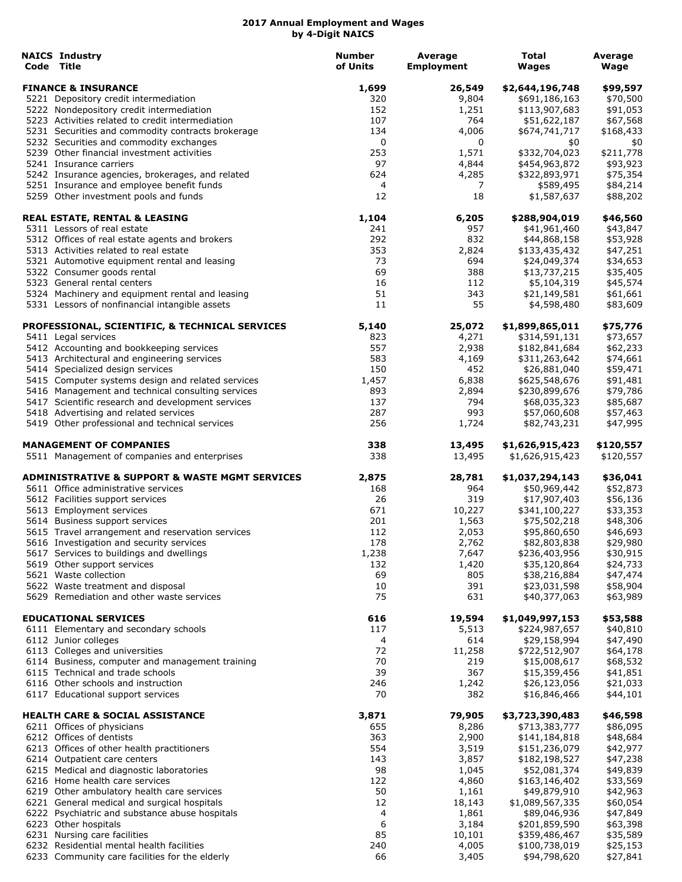| <b>NAICS Industry</b><br>Code Title                                                               | <b>Number</b><br>of Units | Average<br><b>Employment</b> | Total<br><b>Wages</b>       | Average<br>Wage |
|---------------------------------------------------------------------------------------------------|---------------------------|------------------------------|-----------------------------|-----------------|
| <b>FINANCE &amp; INSURANCE</b>                                                                    | 1,699                     | 26,549                       | \$2,644,196,748             | \$99,597        |
| 5221 Depository credit intermediation                                                             | 320                       | 9,804                        | \$691,186,163               | \$70,500        |
| 5222 Nondepository credit intermediation                                                          | 152                       | 1,251                        | \$113,907,683               | \$91,053        |
| 5223 Activities related to credit intermediation                                                  | 107                       | 764                          | \$51,622,187                | \$67,568        |
| 5231 Securities and commodity contracts brokerage                                                 | 134                       | 4,006                        | \$674,741,717               | \$168,433       |
| 5232 Securities and commodity exchanges                                                           | 0                         | 0                            | \$0                         | \$0             |
| 5239 Other financial investment activities                                                        | 253                       | 1,571                        | \$332,704,023               | \$211,778       |
| 5241 Insurance carriers                                                                           | 97                        | 4,844                        | \$454,963,872               | \$93,923        |
| 5242 Insurance agencies, brokerages, and related                                                  | 624                       | 4,285                        | \$322,893,971               | \$75,354        |
| 5251 Insurance and employee benefit funds                                                         | 4                         | 7                            | \$589,495                   | \$84,214        |
| 5259 Other investment pools and funds                                                             | 12                        | 18                           | \$1,587,637                 | \$88,202        |
| <b>REAL ESTATE, RENTAL &amp; LEASING</b>                                                          | 1,104                     | 6,205                        | \$288,904,019               | \$46,560        |
| 5311 Lessors of real estate                                                                       | 241                       | 957                          | \$41,961,460                | \$43,847        |
| 5312 Offices of real estate agents and brokers                                                    | 292                       | 832                          | \$44,868,158                | \$53,928        |
| 5313 Activities related to real estate                                                            | 353                       | 2,824                        | \$133,435,432               | \$47,251        |
| 5321 Automotive equipment rental and leasing                                                      | 73                        | 694                          | \$24,049,374                | \$34,653        |
| 5322 Consumer goods rental                                                                        | 69<br>16                  | 388                          | \$13,737,215                | \$35,405        |
| 5323 General rental centers                                                                       |                           | 112                          | \$5,104,319                 | \$45,574        |
| 5324 Machinery and equipment rental and leasing<br>5331 Lessors of nonfinancial intangible assets | 51<br>11                  | 343<br>55                    | \$21,149,581<br>\$4,598,480 | \$61,661        |
|                                                                                                   |                           |                              |                             | \$83,609        |
| PROFESSIONAL, SCIENTIFIC, & TECHNICAL SERVICES                                                    | 5,140                     | 25,072                       | \$1,899,865,011             | \$75,776        |
| 5411 Legal services                                                                               | 823                       | 4,271                        | \$314,591,131               | \$73,657        |
| 5412 Accounting and bookkeeping services                                                          | 557                       | 2,938                        | \$182,841,684               | \$62,233        |
| 5413 Architectural and engineering services                                                       | 583                       | 4,169                        | \$311,263,642               | \$74,661        |
| 5414 Specialized design services                                                                  | 150                       | 452                          | \$26,881,040                | \$59,471        |
| 5415 Computer systems design and related services                                                 | 1,457                     | 6,838                        | \$625,548,676               | \$91,481        |
| 5416 Management and technical consulting services                                                 | 893                       | 2,894                        | \$230,899,676               | \$79,786        |
| 5417 Scientific research and development services                                                 | 137                       | 794                          | \$68,035,323                | \$85,687        |
| 5418 Advertising and related services                                                             | 287                       | 993                          | \$57,060,608                | \$57,463        |
| 5419 Other professional and technical services                                                    | 256                       | 1,724                        | \$82,743,231                | \$47,995        |
| <b>MANAGEMENT OF COMPANIES</b>                                                                    | 338                       | 13,495                       | \$1,626,915,423             | \$120,557       |
| 5511 Management of companies and enterprises                                                      | 338                       | 13,495                       | \$1,626,915,423             | \$120,557       |
| <b>ADMINISTRATIVE &amp; SUPPORT &amp; WASTE MGMT SERVICES</b>                                     | 2,875                     | 28,781                       | \$1,037,294,143             | \$36,041        |
| 5611 Office administrative services                                                               | 168                       | 964                          | \$50,969,442                | \$52,873        |
| 5612 Facilities support services                                                                  | 26                        | 319                          | \$17,907,403                | \$56,136        |
| 5613 Employment services                                                                          | 671                       | 10,227                       | \$341,100,227               | \$33,353        |
| 5614 Business support services                                                                    | 201                       | 1,563                        | \$75,502,218                | \$48,306        |
| 5615 Travel arrangement and reservation services                                                  | 112                       | 2,053                        | \$95,860,650                | \$46,693        |
| 5616 Investigation and security services                                                          | 178                       | 2,762                        | \$82,803,838                | \$29,980        |
| 5617 Services to buildings and dwellings                                                          | 1,238                     | 7,647                        | \$236,403,956               | \$30,915        |
| 5619 Other support services                                                                       | 132                       | 1,420                        | \$35,120,864                | \$24,733        |
| 5621 Waste collection                                                                             | 69                        | 805                          | \$38,216,884                | \$47,474        |
| 5622 Waste treatment and disposal                                                                 | 10                        | 391                          | \$23,031,598                | \$58,904        |
| 5629 Remediation and other waste services                                                         | 75                        | 631                          | \$40,377,063                | \$63,989        |
| <b>EDUCATIONAL SERVICES</b>                                                                       | 616                       | 19,594                       | \$1,049,997,153             | \$53,588        |
| 6111 Elementary and secondary schools                                                             | 117                       | 5,513                        | \$224,987,657               | \$40,810        |
| 6112 Junior colleges                                                                              | 4                         | 614                          | \$29,158,994                | \$47,490        |
| 6113 Colleges and universities                                                                    | 72                        | 11,258                       | \$722,512,907               | \$64,178        |
| 6114 Business, computer and management training                                                   | 70                        | 219                          | \$15,008,617                | \$68,532        |
| 6115 Technical and trade schools                                                                  | 39                        | 367                          | \$15,359,456                | \$41,851        |
| 6116 Other schools and instruction                                                                | 246                       | 1,242                        | \$26,123,056                | \$21,033        |
| 6117 Educational support services                                                                 | 70                        | 382                          | \$16,846,466                | \$44,101        |
| <b>HEALTH CARE &amp; SOCIAL ASSISTANCE</b>                                                        | 3,871                     | 79,905                       | \$3,723,390,483             | \$46,598        |
| 6211 Offices of physicians                                                                        | 655                       | 8,286                        | \$713,383,777               | \$86,095        |
| 6212 Offices of dentists                                                                          | 363                       | 2,900                        | \$141,184,818               | \$48,684        |
| 6213 Offices of other health practitioners                                                        | 554                       | 3,519                        | \$151,236,079               | \$42,977        |
| 6214 Outpatient care centers                                                                      | 143                       | 3,857                        | \$182,198,527               | \$47,238        |
| 6215 Medical and diagnostic laboratories                                                          | 98                        | 1,045                        | \$52,081,374                | \$49,839        |
| 6216 Home health care services                                                                    | 122                       | 4,860                        | \$163,146,402               | \$33,569        |
| 6219 Other ambulatory health care services                                                        | 50                        | 1,161                        | \$49,879,910                | \$42,963        |
| 6221 General medical and surgical hospitals                                                       | 12                        | 18,143                       | \$1,089,567,335             | \$60,054        |
| 6222 Psychiatric and substance abuse hospitals                                                    | 4                         | 1,861                        | \$89,046,936                | \$47,849        |
| 6223 Other hospitals                                                                              | 6                         | 3,184                        | \$201,859,590               | \$63,398        |
| 6231 Nursing care facilities                                                                      | 85                        | 10,101                       | \$359,486,467               | \$35,589        |
| 6232 Residential mental health facilities                                                         | 240                       | 4,005                        | \$100,738,019               | \$25,153        |
| 6233 Community care facilities for the elderly                                                    | 66                        | 3,405                        | \$94,798,620                | \$27,841        |